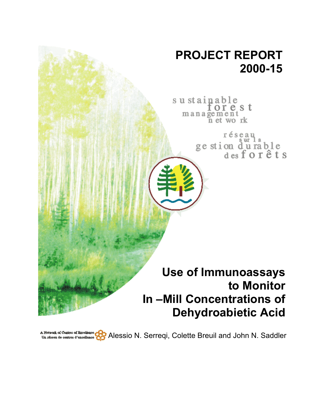

A Network of Coletres of Bacelleges Of Bacelleges (Coletres of Bacelleges Of Serres) Alessio N. Serreqi, Colette Breuil and John N. Saddler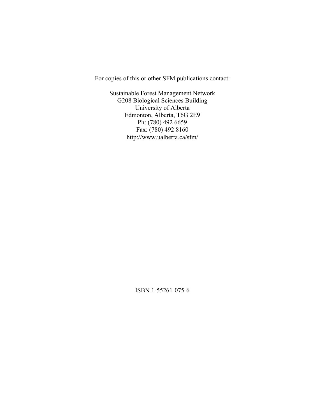For copies of this or other SFM publications contact:

Sustainable Forest Management Network G208 Biological Sciences Building University of Alberta Edmonton, Alberta, T6G 2E9 Ph: (780) 492 6659 Fax: (780) 492 8160 http://www.ualberta.ca/sfm/

ISBN 1-55261-075-6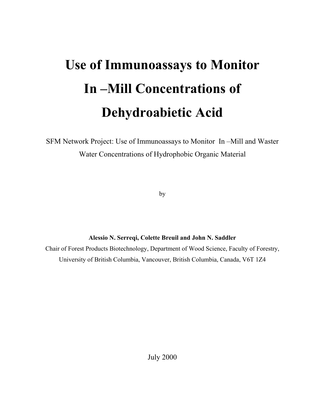# **Use of Immunoassays to Monitor In –Mill Concentrations of Dehydroabietic Acid**

SFM Network Project: Use of Immunoassays to Monitor In –Mill and Waster Water Concentrations of Hydrophobic Organic Material

by

**Alessio N. Serreqi, Colette Breuil and John N. Saddler**  Chair of Forest Products Biotechnology, Department of Wood Science, Faculty of Forestry, University of British Columbia, Vancouver, British Columbia, Canada, V6T 1Z4

July 2000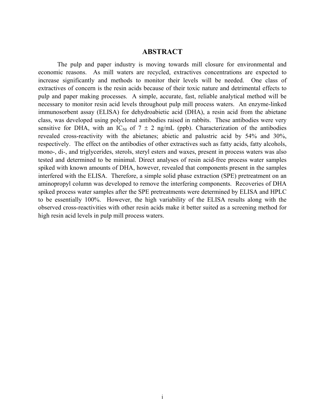#### **ABSTRACT**

The pulp and paper industry is moving towards mill closure for environmental and economic reasons. As mill waters are recycled, extractives concentrations are expected to increase significantly and methods to monitor their levels will be needed. One class of extractives of concern is the resin acids because of their toxic nature and detrimental effects to pulp and paper making processes. A simple, accurate, fast, reliable analytical method will be necessary to monitor resin acid levels throughout pulp mill process waters. An enzyme-linked immunosorbent assay (ELISA) for dehydroabietic acid (DHA), a resin acid from the abietane class, was developed using polyclonal antibodies raised in rabbits. These antibodies were very sensitive for DHA, with an IC<sub>50</sub> of  $7 \pm 2$  ng/mL (ppb). Characterization of the antibodies revealed cross-reactivity with the abietanes; abietic and palustric acid by 54% and 30%, respectively. The effect on the antibodies of other extractives such as fatty acids, fatty alcohols, mono-, di-, and triglycerides, sterols, steryl esters and waxes, present in process waters was also tested and determined to be minimal. Direct analyses of resin acid-free process water samples spiked with known amounts of DHA, however, revealed that components present in the samples interfered with the ELISA. Therefore, a simple solid phase extraction (SPE) pretreatment on an aminopropyl column was developed to remove the interfering components. Recoveries of DHA spiked process water samples after the SPE pretreatments were determined by ELISA and HPLC to be essentially 100%. However, the high variability of the ELISA results along with the observed cross-reactivities with other resin acids make it better suited as a screening method for high resin acid levels in pulp mill process waters.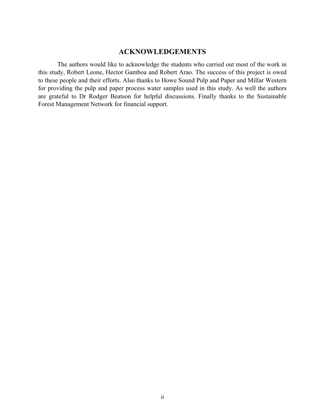# **ACKNOWLEDGEMENTS**

The authors would like to acknowledge the students who carried out most of the work in this study, Robert Leone, Hector Gamboa and Robert Arao. The success of this project is owed to these people and their efforts. Also thanks to Howe Sound Pulp and Paper and Millar Western for providing the pulp and paper process water samples used in this study. As well the authors are grateful to Dr Rodger Beatson for helpful discussions. Finally thanks to the Sustainable Forest Management Network for financial support.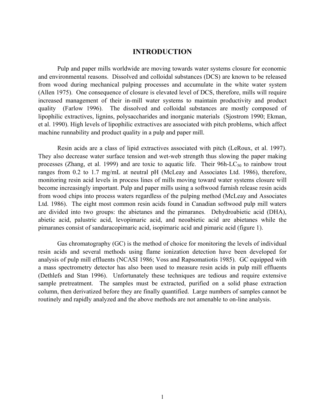## **INTRODUCTION**

Pulp and paper mills worldwide are moving towards water systems closure for economic and environmental reasons. Dissolved and colloidal substances (DCS) are known to be released from wood during mechanical pulping processes and accumulate in the white water system (Allen 1975). One consequence of closure is elevated level of DCS, therefore, mills will require increased management of their in-mill water systems to maintain productivity and product quality (Farlow 1996). The dissolved and colloidal substances are mostly composed of lipophilic extractives, lignins, polysaccharides and inorganic materials (Sjostrom 1990; Ekman, et al. 1990). High levels of lipophilic extractives are associated with pitch problems, which affect machine runnability and product quality in a pulp and paper mill.

Resin acids are a class of lipid extractives associated with pitch (LeRoux, et al. 1997). They also decrease water surface tension and wet-web strength thus slowing the paper making processes (Zhang, et al. 1999) and are toxic to aquatic life. Their  $96h$ -LC<sub>50</sub> to rainbow trout ranges from 0.2 to 1.7 mg/mL at neutral pH (McLeay and Associates Ltd. 1986), therefore, monitoring resin acid levels in process lines of mills moving toward water systems closure will become increasingly important. Pulp and paper mills using a softwood furnish release resin acids from wood chips into process waters regardless of the pulping method (McLeay and Associates Ltd. 1986). The eight most common resin acids found in Canadian softwood pulp mill waters are divided into two groups: the abietanes and the pimaranes. Dehydroabietic acid (DHA), abietic acid, palustric acid, levopimaric acid, and neoabietic acid are abietanes while the pimaranes consist of sandaracopimaric acid, isopimaric acid and pimaric acid (figure 1).

Gas chromatography (GC) is the method of choice for monitoring the levels of individual resin acids and several methods using flame ionization detection have been developed for analysis of pulp mill effluents (NCASI 1986; Voss and Rapsomatiotis 1985). GC equipped with a mass spectrometry detector has also been used to measure resin acids in pulp mill effluents (Dethlefs and Stan 1996). Unfortunately these techniques are tedious and require extensive sample pretreatment. The samples must be extracted, purified on a solid phase extraction column, then derivatized before they are finally quantified. Large numbers of samples cannot be routinely and rapidly analyzed and the above methods are not amenable to on-line analysis.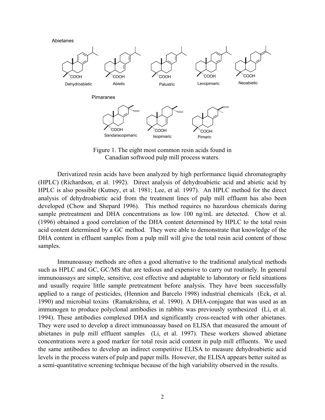Abietanes



Figure 1. The eight most common resin acids found in Canadian softwood pulp mill process waters.

Derivatized resin acids have been analyzed by high performance liquid chromatography (HPLC) (Richardson, et al. 1992). Direct analysis of dehydroabietic acid and abietic acid by HPLC is also possible (Kutney, et al. 1981; Lee, et al. 1997). An HPLC method for the direct analysis of dehydroabietic acid from the treatment lines of pulp mill effluent has also been developed (Chow and Shepard 1996). This method requires no hazardous chemicals during sample pretreatment and DHA concentrations as low 100 ng/mL are detected. Chow et al. (1996) obtained a good correlation of the DHA content determined by HPLC to the total resin acid content determined by a GC method. They were able to demonstrate that knowledge of the DHA content in effluent samples from a pulp mill will give the total resin acid content of those samples.

Immunoassay methods are often a good alternative to the traditional analytical methods such as HPLC and GC, GC/MS that are tedious and expensive to carry out routinely. In general immunoassays are simple, sensitive, cost effective and adaptable to laboratory or field situations and usually require little sample pretreatment before analysis. They have been successfully applied to a range of pesticides, (Hennion and Barcelo 1998) industrial chemicals (Eck, et al. 1990) and microbial toxins (Ramakrishna, et al. 1990). A DHA-conjugate that was used as an immunogen to produce polyclonal antibodies in rabbits was previously synthesized (Li, et al. 1994). These antibodies complexed DHA and significantly cross-reacted with other abietanes. They were used to develop a direct immunoassay based on ELISA that measured the amount of abietanes in pulp mill effluent samples (Li, et al. 1997). These workers showed abietane concentrations were a good marker for total resin acid content in pulp mill effluents. We used the same antibodies to develop an indirect competitive ELISA to measure dehydroabietic acid levels in the process waters of pulp and paper mills. However, the ELISA appears better suited as a semi-quantitative screening technique because of the high variability observed in the results.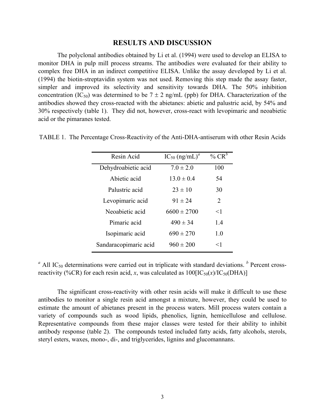#### **RESULTS AND DISCUSSION**

The polyclonal antibodies obtained by Li et al. (1994) were used to develop an ELISA to monitor DHA in pulp mill process streams. The antibodies were evaluated for their ability to complex free DHA in an indirect competitive ELISA. Unlike the assay developed by Li et al. (1994) the biotin-streptavidin system was not used. Removing this step made the assay faster, simpler and improved its selectivity and sensitivity towards DHA. The 50% inhibition concentration (IC<sub>50</sub>) was determined to be  $7 \pm 2$  ng/mL (ppb) for DHA. Characterization of the antibodies showed they cross-reacted with the abietanes: abietic and palustric acid, by 54% and 30% respectively (table 1). They did not, however, cross-react with levopimaric and neoabietic acid or the pimaranes tested.

| Resin Acid            | $IC_{50}$ (ng/mL) <sup>a</sup> | % $CR^b$                    |
|-----------------------|--------------------------------|-----------------------------|
| Dehydroabietic acid   | $7.0 \pm 2.0$                  | 100                         |
| Abietic acid          | $13.0 \pm 0.4$                 | 54                          |
| Palustric acid        | $23 \pm 10$                    | 30                          |
| Levopimaric acid      | $91 \pm 24$                    | $\mathcal{D}_{\mathcal{L}}$ |
| Neoabietic acid       | $6600 \pm 2700$                | $<$ 1                       |
| Pimaric acid          | $490 \pm 34$                   | 1.4                         |
| Isopimaric acid       | $690 \pm 270$                  | 10                          |
| Sandaracopimaric acid | $960 \pm 200$                  | $<$ 1                       |

TABLE 1. The Percentage Cross-Reactivity of the Anti-DHA-antiserum with other Resin Acids

 $^a$  All IC<sub>50</sub> determinations were carried out in triplicate with standard deviations.  $^b$  Percent crossreactivity (%CR) for each resin acid, *x*, was calculated as  $100[IC_{50}(x)/IC_{50}(DHA)]$ 

The significant cross-reactivity with other resin acids will make it difficult to use these antibodies to monitor a single resin acid amongst a mixture, however, they could be used to estimate the amount of abietanes present in the process waters. Mill process waters contain a variety of compounds such as wood lipids, phenolics, lignin, hemicellulose and cellulose. Representative compounds from these major classes were tested for their ability to inhibit antibody response (table 2). The compounds tested included fatty acids, fatty alcohols, sterols, steryl esters, waxes, mono-, di-, and triglycerides, lignins and glucomannans.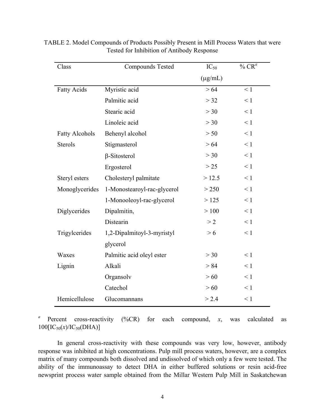| Class                 | <b>Compounds Tested</b>     | $IC_{50}$    | $\%$ $\mathbb{CR}^a$ |
|-----------------------|-----------------------------|--------------|----------------------|
|                       |                             | $(\mu g/mL)$ |                      |
| <b>Fatty Acids</b>    | Myristic acid               | > 64         | $\leq 1$             |
|                       | Palmitic acid               | $>$ 32       | $\leq 1$             |
|                       | Stearic acid                | >30          | $\leq 1$             |
|                       | Linoleic acid               | >30          | $\leq 1$             |
| <b>Fatty Alcohols</b> | Behenyl alcohol             | > 50         | $\leq 1$             |
| <b>Sterols</b>        | Stigmasterol                | > 64         | $\leq 1$             |
|                       | $\beta$ -Sitosterol         | >30          | $\leq 1$             |
|                       | Ergosterol                  | >25          | $\leq 1$             |
| Steryl esters         | Cholesteryl palmitate       | >12.5        | $\leq 1$             |
| Monoglycerides        | 1-Monostearoyl-rac-glycerol | > 250        | $\leq 1$             |
|                       | 1-Monooleoyl-rac-glycerol   | >125         | $\leq 1$             |
| Diglycerides          | Dipalmitin,                 | >100         | $\leq 1$             |
|                       | Distearin                   | >2           | $\leq 1$             |
| Trigylcerides         | 1,2-Dipalmitoyl-3-myristyl  | > 6          | $\leq 1$             |
|                       | glycerol                    |              |                      |
| Waxes                 | Palmitic acid oleyl ester   | >30          | $\leq 1$             |
| Lignin                | Alkali                      | > 84         | $\leq 1$             |
|                       | Organsolv                   | >60          | $\leq 1$             |
|                       | Catechol                    | >60          | $\leq 1$             |
| Hemicellulose         | Glucomannans                | > 2.4        | $\leq 1$             |

TABLE 2. Model Compounds of Products Possibly Present in Mill Process Waters that were Tested for Inhibition of Antibody Response

<sup>*a*</sup> Percent cross-reactivity (%CR) for each compound, *x*, was calculated as  $100[IC_{50}(x)/IC_{50}(DHA)]$ 

In general cross-reactivity with these compounds was very low, however, antibody response was inhibited at high concentrations. Pulp mill process waters, however, are a complex matrix of many compounds both dissolved and undissolved of which only a few were tested. The ability of the immunoassay to detect DHA in either buffered solutions or resin acid-free newsprint process water sample obtained from the Millar Western Pulp Mill in Saskatchewan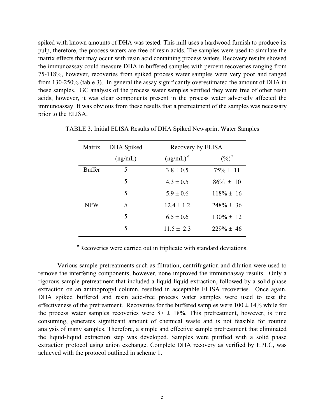spiked with known amounts of DHA was tested. This mill uses a hardwood furnish to produce its pulp, therefore, the process waters are free of resin acids. The samples were used to simulate the matrix effects that may occur with resin acid containing process waters. Recovery results showed the immunoassay could measure DHA in buffered samples with percent recoveries ranging from 75-118%, however, recoveries from spiked process water samples were very poor and ranged from 130-250% (table 3). In general the assay significantly overestimated the amount of DHA in these samples. GC analysis of the process water samples verified they were free of other resin acids, however, it was clear components present in the process water adversely affected the immunoassay. It was obvious from these results that a pretreatment of the samples was necessary prior to the ELISA.

| Matrix        | DHA Spiked  | Recovery by ELISA |                |  |
|---------------|-------------|-------------------|----------------|--|
|               | (ng/mL)     | $(ng/mL)^a$       | $(\%)^a$       |  |
| <b>Buffer</b> | 5           | $3.8 \pm 0.5$     | $75\% + 11$    |  |
|               | 5           | $4.3 \pm 0.5$     | $86\% \pm 10$  |  |
|               | 5           | $5.9 \pm 0.6$     | $118\% \pm 16$ |  |
| <b>NPW</b>    | $\varsigma$ | $12.4 \pm 1.2$    | $248\% \pm 36$ |  |
|               | 5           | $6.5 \pm 0.6$     | $130\% \pm 12$ |  |
|               | 5           | $11.5 \pm 2.3$    | $229\% + 46$   |  |

TABLE 3. Initial ELISA Results of DHA Spiked Newsprint Water Samples

<sup>*a*</sup> Recoveries were carried out in triplicate with standard deviations.

Various sample pretreatments such as filtration, centrifugation and dilution were used to remove the interfering components, however, none improved the immunoassay results. Only a rigorous sample pretreatment that included a liquid-liquid extraction, followed by a solid phase extraction on an aminopropyl column, resulted in acceptable ELISA recoveries. Once again, DHA spiked buffered and resin acid-free process water samples were used to test the effectiveness of the pretreatment. Recoveries for the buffered samples were  $100 \pm 14\%$  while for the process water samples recoveries were  $87 \pm 18\%$ . This pretreatment, however, is time consuming, generates significant amount of chemical waste and is not feasible for routine analysis of many samples. Therefore, a simple and effective sample pretreatment that eliminated the liquid-liquid extraction step was developed. Samples were purified with a solid phase extraction protocol using anion exchange. Complete DHA recovery as verified by HPLC, was achieved with the protocol outlined in scheme 1.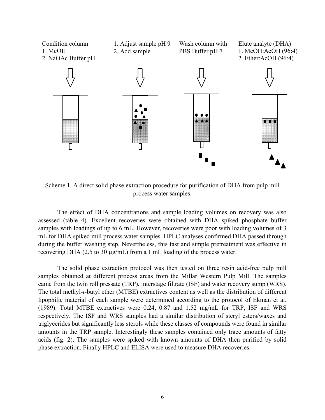

Scheme 1. A direct solid phase extraction procedure for purification of DHA from pulp mill process water samples.

The effect of DHA concentrations and sample loading volumes on recovery was also assessed (table 4). Excellent recoveries were obtained with DHA spiked phosphate buffer samples with loadings of up to 6 mL. However, recoveries were poor with loading volumes of 3 mL for DHA spiked mill process water samples. HPLC analyses confirmed DHA passed through during the buffer washing step. Nevertheless, this fast and simple pretreatment was effective in recovering DHA (2.5 to 30 µg/mL) from a 1 mL loading of the process water.

The solid phase extraction protocol was then tested on three resin acid-free pulp mill samples obtained at different process areas from the Millar Western Pulp Mill. The samples came from the twin roll pressate (TRP), interstage filtrate (ISF) and water recovery sump (WRS). The total methyl-*t*-butyl ether (MTBE) extractives content as well as the distribution of different lipophilic material of each sample were determined according to the protocol of Ekman et al. (1989). Total MTBE extractives were 0.24, 0.87 and 1.52 mg/mL for TRP, ISF and WRS respectively. The ISF and WRS samples had a similar distribution of steryl esters/waxes and triglycerides but significantly less sterols while these classes of compounds were found in similar amounts in the TRP sample. Interestingly these samples contained only trace amounts of fatty acids (fig. 2). The samples were spiked with known amounts of DHA then purified by solid phase extraction. Finally HPLC and ELISA were used to measure DHA recoveries.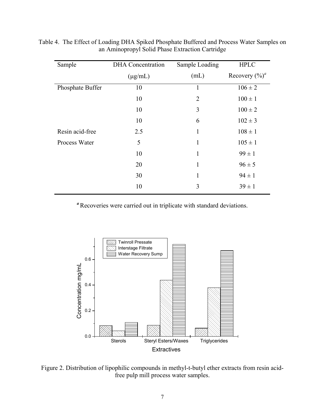| Sample           | <b>DHA</b> Concentration | Sample Loading | <b>HPLC</b>       |
|------------------|--------------------------|----------------|-------------------|
|                  | $(\mu g/mL)$             | (mL)           | Recovery $(\%)^a$ |
| Phosphate Buffer | 10                       | $\mathbf{1}$   | $106 \pm 2$       |
|                  | 10                       | $\overline{2}$ | $100 \pm 1$       |
|                  | 10                       | 3              | $100 \pm 2$       |
|                  | 10                       | 6              | $102 \pm 3$       |
| Resin acid-free  | 2.5                      | $\mathbf{1}$   | $108 \pm 1$       |
| Process Water    | 5                        | $\mathbf{1}$   | $105 \pm 1$       |
|                  | 10                       | 1              | $99 \pm 1$        |
|                  | 20                       | 1              | $96 \pm 5$        |
|                  | 30                       | 1              | $94 \pm 1$        |
|                  | 10                       | 3              | $39 \pm 1$        |

Table 4. The Effect of Loading DHA Spiked Phosphate Buffered and Process Water Samples on an Aminopropyl Solid Phase Extraction Cartridge

<sup>*a*</sup> Recoveries were carried out in triplicate with standard deviations.



Figure 2. Distribution of lipophilic compounds in methyl-t-butyl ether extracts from resin acidfree pulp mill process water samples.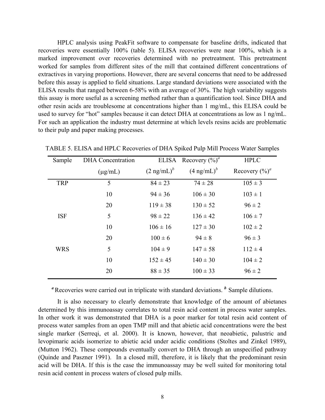HPLC analysis using PeakFit software to compensate for baseline drifts, indicated that recoveries were essentially 100% (table 5). ELISA recoveries were near 100%, which is a marked improvement over recoveries determined with no pretreatment. This pretreatment worked for samples from different sites of the mill that contained different concentrations of extractives in varying proportions. However, there are several concerns that need to be addressed before this assay is applied to field situations. Large standard deviations were associated with the ELISA results that ranged between 6-58% with an average of 30%. The high variability suggests this assay is more useful as a screening method rather than a quantification tool. Since DHA and other resin acids are troublesome at concentrations higher than 1 mg/mL, this ELISA could be used to survey for "hot" samples because it can detect DHA at concentrations as low as 1 ng/mL. For such an application the industry must determine at which levels resins acids are problematic to their pulp and paper making processes.

| Sample     | <b>DHA</b> Concentration |                       | ELISA Recovery $(\%)^a$ | <b>HPLC</b>       |
|------------|--------------------------|-----------------------|-------------------------|-------------------|
|            | $(\mu g/mL)$             | $(2 \text{ ng/mL})^b$ | $(4 \text{ ng/mL})^b$   | Recovery $(\%)^a$ |
| <b>TRP</b> | 5                        | $84 \pm 23$           | $74 \pm 28$             | $105 \pm 3$       |
|            | 10                       | $94 \pm 36$           | $106 \pm 30$            | $103 \pm 1$       |
|            | 20                       | $119 \pm 38$          | $130 \pm 52$            | $96 \pm 2$        |
| <b>ISF</b> | 5                        | $98 \pm 22$           | $136 \pm 42$            | $106 \pm 7$       |
|            | 10                       | $106 \pm 16$          | $127 \pm 30$            | $102 \pm 2$       |
|            | 20                       | $100 \pm 6$           | $94 \pm 8$              | $96 \pm 3$        |
| <b>WRS</b> | 5                        | $104 \pm 9$           | $147 \pm 58$            | $112 \pm 4$       |
|            | 10                       | $152 \pm 45$          | $140 \pm 30$            | $104 \pm 2$       |
|            | 20                       | $88 \pm 35$           | $100 \pm 33$            | $96 \pm 2$        |

TABLE 5. ELISA and HPLC Recoveries of DHA Spiked Pulp Mill Process Water Samples

<sup>*a*</sup> Recoveries were carried out in triplicate with standard deviations. *b* Sample dilutions.

It is also necessary to clearly demonstrate that knowledge of the amount of abietanes determined by this immunoassay correlates to total resin acid content in process water samples. In other work it was demonstrated that DHA is a poor marker for total resin acid content of process water samples from an open TMP mill and that abietic acid concentrations were the best single marker (Serreqi, et al. 2000). It is known, however, that neoabietic, palustric and levopimaric acids isomerize to abietic acid under acidic conditions (Stoltes and Zinkel 1989), (Mutton 1962). These compounds eventually convert to DHA through an unspecified pathway (Quinde and Paszner 1991). In a closed mill, therefore, it is likely that the predominant resin acid will be DHA. If this is the case the immunoassay may be well suited for monitoring total resin acid content in process waters of closed pulp mills.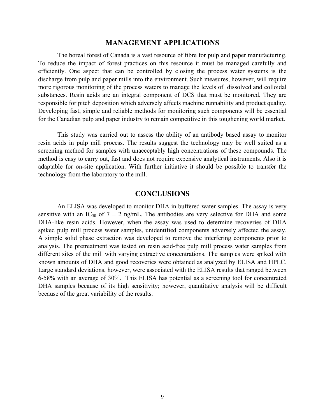#### **MANAGEMENT APPLICATIONS**

The boreal forest of Canada is a vast resource of fibre for pulp and paper manufacturing. To reduce the impact of forest practices on this resource it must be managed carefully and efficiently. One aspect that can be controlled by closing the process water systems is the discharge from pulp and paper mills into the environment. Such measures, however, will require more rigorous monitoring of the process waters to manage the levels of dissolved and colloidal substances. Resin acids are an integral component of DCS that must be monitored. They are responsible for pitch deposition which adversely affects machine runnability and product quality. Developing fast, simple and reliable methods for monitoring such components will be essential for the Canadian pulp and paper industry to remain competitive in this toughening world market.

This study was carried out to assess the ability of an antibody based assay to monitor resin acids in pulp mill process. The results suggest the technology may be well suited as a screening method for samples with unacceptably high concentrations of these compounds. The method is easy to carry out, fast and does not require expensive analytical instruments. Also it is adaptable for on-site application. With further initiative it should be possible to transfer the technology from the laboratory to the mill.

## **CONCLUSIONS**

An ELISA was developed to monitor DHA in buffered water samples. The assay is very sensitive with an IC<sub>50</sub> of  $7 \pm 2$  ng/mL. The antibodies are very selective for DHA and some DHA-like resin acids. However, when the assay was used to determine recoveries of DHA spiked pulp mill process water samples, unidentified components adversely affected the assay. A simple solid phase extraction was developed to remove the interfering components prior to analysis. The pretreatment was tested on resin acid-free pulp mill process water samples from different sites of the mill with varying extractive concentrations. The samples were spiked with known amounts of DHA and good recoveries were obtained as analyzed by ELISA and HPLC. Large standard deviations, however, were associated with the ELISA results that ranged between 6-58% with an average of 30%. This ELISA has potential as a screening tool for concentrated DHA samples because of its high sensitivity; however, quantitative analysis will be difficult because of the great variability of the results.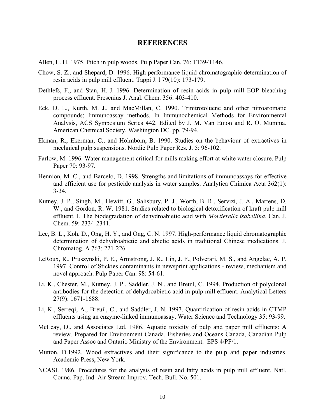#### **REFERENCES**

- Allen, L. H. 1975. Pitch in pulp woods. Pulp Paper Can. 76: T139-T146.
- Chow, S. Z., and Shepard, D. 1996. High performance liquid chromatographic determination of resin acids in pulp mill effluent. Tappi J. l 79(10): 173-179.
- Dethlefs, F., and Stan, H.-J. 1996. Determination of resin acids in pulp mill EOP bleaching process effluent. Fresenius J. Anal. Chem. 356: 403-410.
- Eck, D. L., Kurth, M. J., and MacMillan, C. 1990. Trinitrotoluene and other nitroaromatic compounds; Immunoassay methods. In Immunochemical Methods for Environmental Analysis, ACS Symposium Series 442. Edited by J. M. Van Emon and R. O. Mumma. American Chemical Society, Washington DC. pp. 79-94.
- Ekman, R., Ekerman, C., and Holmbom, B. 1990. Studies on the behaviour of extractives in mechnical pulp suspensions. Nordic Pulp Paper Res. J. 5: 96-102.
- Farlow, M. 1996. Water management critical for mills making effort at white water closure. Pulp Paper 70: 93-97.
- Hennion, M. C., and Barcelo, D. 1998. Strengths and limitations of immunoassays for effective and efficient use for pesticide analysis in water samples. Analytica Chimica Acta 362(1): 3-34.
- Kutney, J. P., Singh, M., Hewitt, G., Salisbury, P. J., Worth, B. R., Servizi, J. A., Martens, D. W., and Gordon, R. W. 1981. Studies related to biological detoxification of kraft pulp mill effluent. I. The biodegradation of dehydroabietic acid with *Mortierella isabellina*. Can. J. Chem. 59: 2334-2341.
- Lee, B. L., Koh, D., Ong, H. Y., and Ong, C. N. 1997. High-performance liquid chromatographic determination of dehydroabietic and abietic acids in traditional Chinese medications. J. Chromatog. A 763: 221-226.
- LeRoux, R., Pruszynski, P. E., Armstrong, J. R., Lin, J. F., Polverari, M. S., and Angelac, A. P. 1997. Control of Stickies contaminants in newsprint applications - review, mechanism and novel approach. Pulp Paper Can. 98: 54-61.
- Li, K., Chester, M., Kutney, J. P., Saddler, J. N., and Breuil, C. 1994. Production of polyclonal antibodies for the detection of dehydroabietic acid in pulp mill effluent. Analytical Letters 27(9): 1671-1688.
- Li, K., Serreqi, A., Breuil, C., and Saddler, J. N. 1997. Quantification of resin acids in CTMP effluents using an enzyme-linked immunoassay. Water Science and Technology 35: 93-99.
- McLeay, D., and Associates Ltd. 1986. Aquatic toxicity of pulp and paper mill effluents: A review. Prepared for Environment Canada, Fisheries and Oceans Canada, Canadian Pulp and Paper Assoc and Ontario Ministry of the Environment. EPS 4/PF/1.
- Mutton, D.1992. Wood extractives and their significance to the pulp and paper industries*.* Academic Press, New York.
- NCASI. 1986. Procedures for the analysis of resin and fatty acids in pulp mill effluent. Natl. Counc. Pap. Ind. Air Stream Improv. Tech. Bull. No. 501.